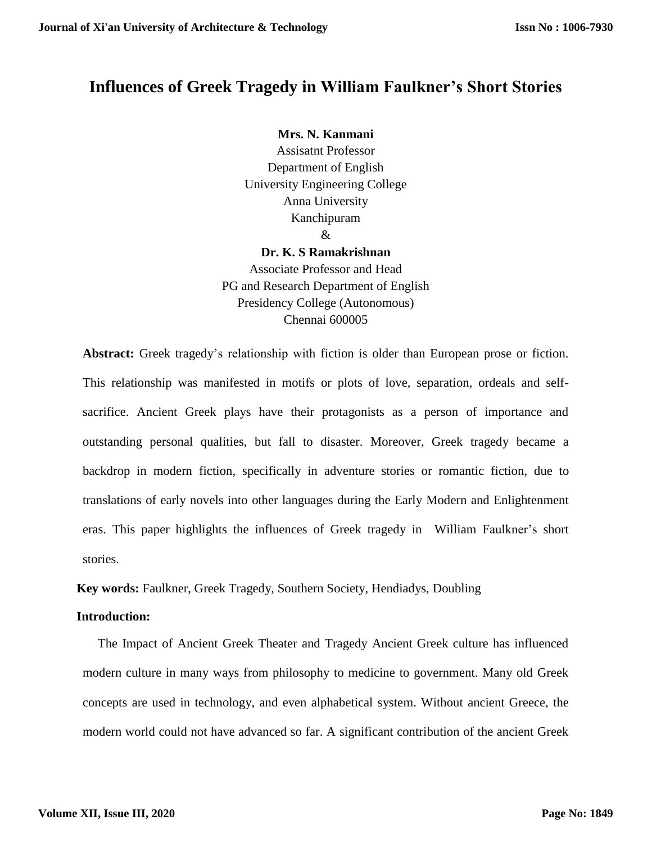# **Influences of Greek Tragedy in William Faulkner's Short Stories**

**Mrs. N. Kanmani** Assisatnt Professor Department of English University Engineering College Anna University Kanchipuram &

**Dr. K. S Ramakrishnan** Associate Professor and Head PG and Research Department of English Presidency College (Autonomous) Chennai 600005

**Abstract:** Greek tragedy's relationship with fiction is older than European prose or fiction. This relationship was manifested in motifs or plots of love, separation, ordeals and selfsacrifice. Ancient Greek plays have their protagonists as a person of importance and outstanding personal qualities, but fall to disaster. Moreover, Greek tragedy became a backdrop in modern fiction, specifically in adventure stories or romantic fiction, due to translations of early novels into other languages during the Early Modern and Enlightenment eras. This paper highlights the influences of Greek tragedy in William Faulkner's short stories.

**Key words:** Faulkner, Greek Tragedy, Southern Society, Hendiadys, Doubling

## **Introduction:**

The Impact of Ancient Greek Theater and Tragedy Ancient Greek culture has influenced modern culture in many ways from philosophy to medicine to government. Many old Greek concepts are used in technology, and even alphabetical system. Without ancient Greece, the modern world could not have advanced so far. A significant contribution of the ancient Greek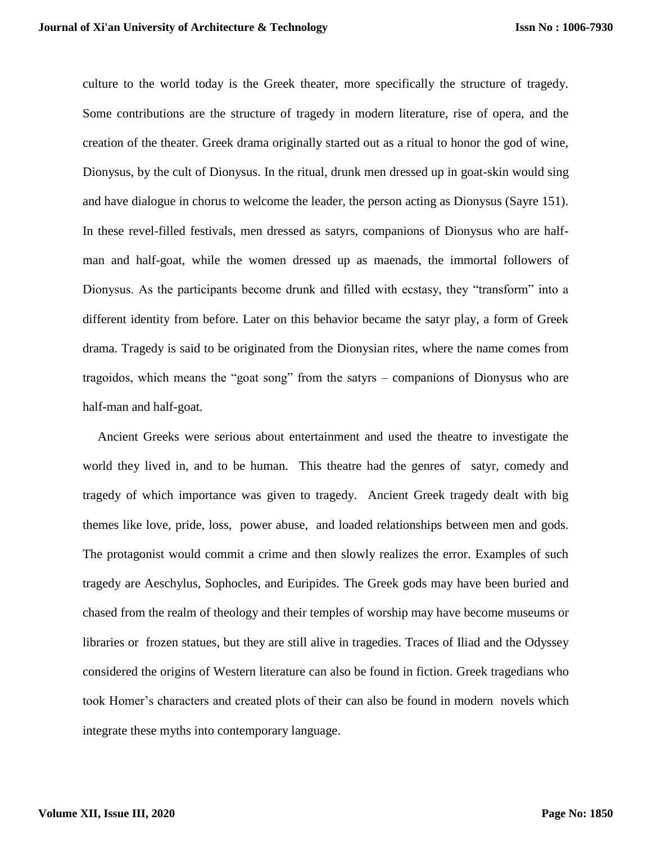culture to the world today is the Greek theater, more specifically the structure of tragedy. Some contributions are the structure of tragedy in modern literature, rise of opera, and the creation of the theater. Greek drama originally started out as a ritual to honor the god of wine, Dionysus, by the cult of Dionysus. In the ritual, drunk men dressed up in goat-skin would sing and have dialogue in chorus to welcome the leader, the person acting as Dionysus (Sayre 151). In these revel-filled festivals, men dressed as satyrs, companions of Dionysus who are halfman and half-goat, while the women dressed up as maenads, the immortal followers of Dionysus. As the participants become drunk and filled with ecstasy, they "transform" into a different identity from before. Later on this behavior became the satyr play, a form of Greek drama. Tragedy is said to be originated from the Dionysian rites, where the name comes from tragoidos, which means the "goat song" from the satyrs – companions of Dionysus who are half-man and half-goat.

Ancient Greeks were serious about entertainment and used the theatre to investigate the world they lived in, and to be human. This theatre had the genres of satyr, comedy and tragedy of which importance was given to tragedy. Ancient Greek tragedy dealt with big themes like love, pride, loss, power abuse, and loaded relationships between men and gods. The protagonist would commit a crime and then slowly realizes the error. Examples of such tragedy are Aeschylus, Sophocles, and Euripides. The Greek gods may have been buried and chased from the realm of theology and their temples of worship may have become museums or libraries or frozen statues, but they are still alive in tragedies. Traces of Iliad and the Odyssey considered the origins of Western literature can also be found in fiction. Greek tragedians who took Homer's characters and created plots of their can also be found in modern novels which integrate these myths into contemporary language.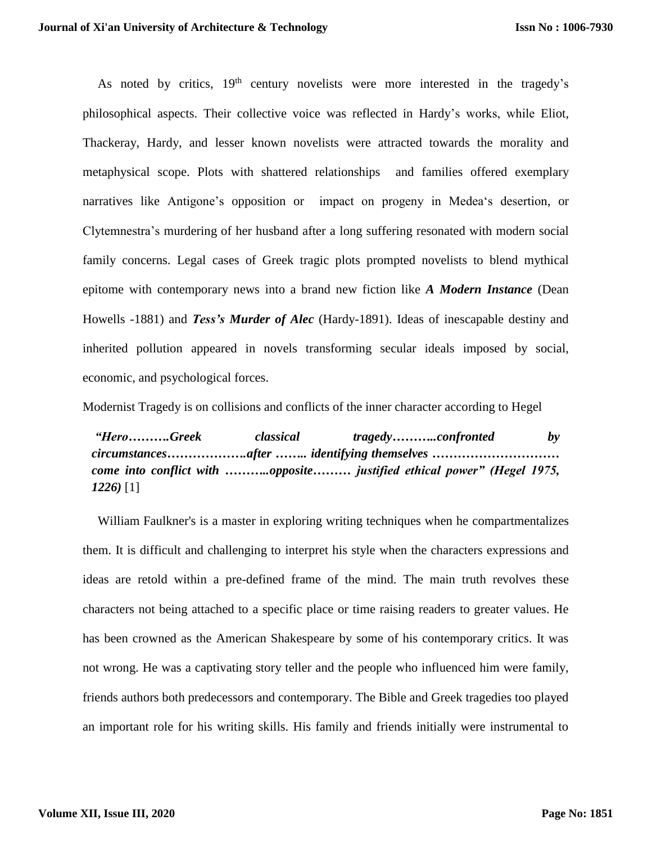As noted by critics,  $19<sup>th</sup>$  century novelists were more interested in the tragedy's philosophical aspects. Their collective voice was reflected in Hardy's works, while Eliot, Thackeray, Hardy, and lesser known novelists were attracted towards the morality and metaphysical scope. Plots with shattered relationships and families offered exemplary narratives like Antigone's opposition or impact on progeny in Medea's desertion, or Clytemnestra's murdering of her husband after a long suffering resonated with modern social family concerns. Legal cases of Greek tragic plots prompted novelists to blend mythical epitome with contemporary news into a brand new fiction like *A Modern Instance* (Dean Howells -1881) and *Tess's Murder of Alec* (Hardy-1891). Ideas of inescapable destiny and inherited pollution appeared in novels transforming secular ideals imposed by social, economic, and psychological forces.

Modernist Tragedy is on collisions and conflicts of the inner character according to Hegel

*"Hero……….Greek classical tragedy………..confronted by circumstances……………….after …….. identifying themselves ………………………… come into conflict with ………..opposite……… justified ethical power" (Hegel 1975, 1226)* [1]

William Faulkner's is a master in exploring writing techniques when he compartmentalizes them. It is difficult and challenging to interpret his style when the characters expressions and ideas are retold within a pre-defined frame of the mind. The main truth revolves these characters not being attached to a specific place or time raising readers to greater values. He has been crowned as the American Shakespeare by some of his contemporary critics. It was not wrong. He was a captivating story teller and the people who influenced him were family, friends authors both predecessors and contemporary. The Bible and Greek tragedies too played an important role for his writing skills. His family and friends initially were instrumental to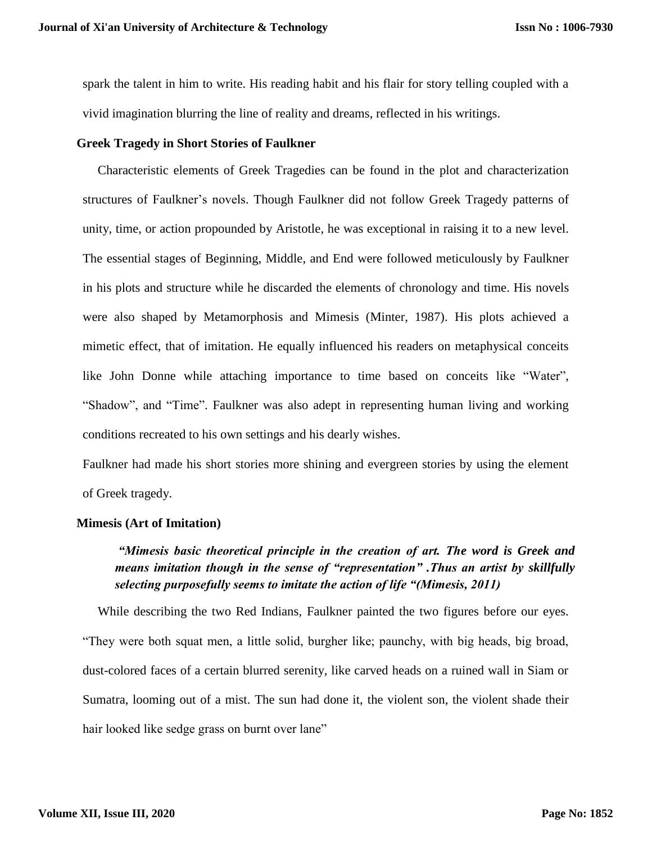spark the talent in him to write. His reading habit and his flair for story telling coupled with a vivid imagination blurring the line of reality and dreams, reflected in his writings.

#### **Greek Tragedy in Short Stories of Faulkner**

Characteristic elements of Greek Tragedies can be found in the plot and characterization structures of Faulkner's novels. Though Faulkner did not follow Greek Tragedy patterns of unity, time, or action propounded by Aristotle, he was exceptional in raising it to a new level. The essential stages of Beginning, Middle, and End were followed meticulously by Faulkner in his plots and structure while he discarded the elements of chronology and time. His novels were also shaped by Metamorphosis and Mimesis (Minter, 1987). His plots achieved a mimetic effect, that of imitation. He equally influenced his readers on metaphysical conceits like John Donne while attaching importance to time based on conceits like "Water", "Shadow", and "Time". Faulkner was also adept in representing human living and working conditions recreated to his own settings and his dearly wishes.

Faulkner had made his short stories more shining and evergreen stories by using the element of Greek tragedy.

#### **Mimesis (Art of Imitation)**

# *"Mimesis basic theoretical principle in the creation of art. The word is Greek and means imitation though in the sense of "representation" .Thus an artist by skillfully selecting purposefully seems to imitate the action of life "(Mimesis, 2011)*

While describing the two Red Indians, Faulkner painted the two figures before our eyes. "They were both squat men, a little solid, burgher like; paunchy, with big heads, big broad, dust-colored faces of a certain blurred serenity, like carved heads on a ruined wall in Siam or Sumatra, looming out of a mist. The sun had done it, the violent son, the violent shade their hair looked like sedge grass on burnt over lane"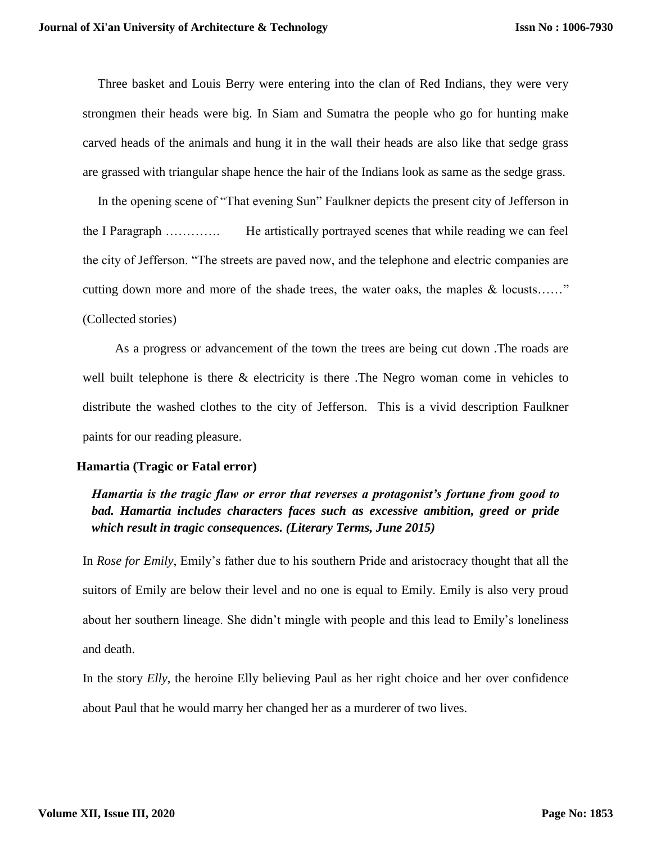Three basket and Louis Berry were entering into the clan of Red Indians, they were very strongmen their heads were big. In Siam and Sumatra the people who go for hunting make carved heads of the animals and hung it in the wall their heads are also like that sedge grass are grassed with triangular shape hence the hair of the Indians look as same as the sedge grass.

In the opening scene of "That evening Sun" Faulkner depicts the present city of Jefferson in the I Paragraph …………. He artistically portrayed scenes that while reading we can feel the city of Jefferson. "The streets are paved now, and the telephone and electric companies are cutting down more and more of the shade trees, the water oaks, the maples & locusts……" (Collected stories)

As a progress or advancement of the town the trees are being cut down .The roads are well built telephone is there & electricity is there .The Negro woman come in vehicles to distribute the washed clothes to the city of Jefferson. This is a vivid description Faulkner paints for our reading pleasure.

#### **Hamartia (Tragic or Fatal error)**

*Hamartia is the tragic flaw or error that reverses a protagonist's fortune from good to bad. Hamartia includes characters faces such as excessive ambition, greed or pride which result in tragic consequences. (Literary Terms, June 2015)*

In *Rose for Emily*, Emily's father due to his southern Pride and aristocracy thought that all the suitors of Emily are below their level and no one is equal to Emily. Emily is also very proud about her southern lineage. She didn't mingle with people and this lead to Emily's loneliness and death.

In the story *Elly*, the heroine Elly believing Paul as her right choice and her over confidence about Paul that he would marry her changed her as a murderer of two lives.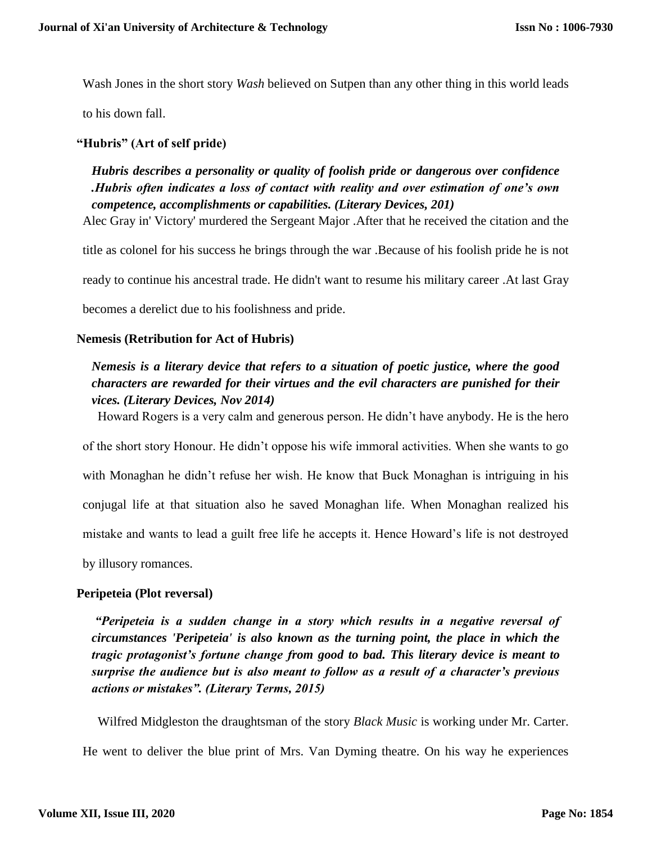Wash Jones in the short story *Wash* believed on Sutpen than any other thing in this world leads

to his down fall.

# **"Hubris" (Art of self pride)**

*Hubris describes a personality or quality of foolish pride or dangerous over confidence .Hubris often indicates a loss of contact with reality and over estimation of one's own competence, accomplishments or capabilities. (Literary Devices, 201)*

Alec Gray in' Victory' murdered the Sergeant Major .After that he received the citation and the

title as colonel for his success he brings through the war .Because of his foolish pride he is not ready to continue his ancestral trade. He didn't want to resume his military career .At last Gray becomes a derelict due to his foolishness and pride.

## **Nemesis (Retribution for Act of Hubris)**

# *Nemesis is a literary device that refers to a situation of poetic justice, where the good characters are rewarded for their virtues and the evil characters are punished for their vices. (Literary Devices, Nov 2014)*

Howard Rogers is a very calm and generous person. He didn't have anybody. He is the hero of the short story Honour. He didn't oppose his wife immoral activities. When she wants to go with Monaghan he didn't refuse her wish. He know that Buck Monaghan is intriguing in his conjugal life at that situation also he saved Monaghan life. When Monaghan realized his

mistake and wants to lead a guilt free life he accepts it. Hence Howard's life is not destroyed

by illusory romances.

## **Peripeteia (Plot reversal)**

*"Peripeteia is a sudden change in a story which results in a negative reversal of circumstances 'Peripeteia' is also known as the turning point, the place in which the tragic protagonist's fortune change from good to bad. This literary device is meant to surprise the audience but is also meant to follow as a result of a character's previous actions or mistakes". (Literary Terms, 2015)*

Wilfred Midgleston the draughtsman of the story *Black Music* is working under Mr. Carter. He went to deliver the blue print of Mrs. Van Dyming theatre. On his way he experiences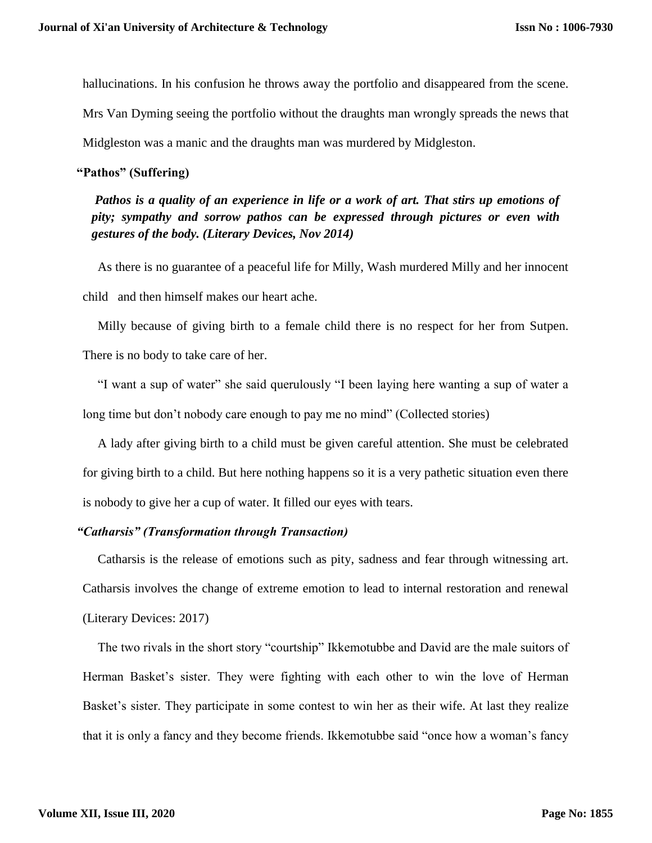hallucinations. In his confusion he throws away the portfolio and disappeared from the scene.

Mrs Van Dyming seeing the portfolio without the draughts man wrongly spreads the news that

Midgleston was a manic and the draughts man was murdered by Midgleston.

#### **"Pathos" (Suffering)**

*Pathos is a quality of an experience in life or a work of art. That stirs up emotions of pity; sympathy and sorrow pathos can be expressed through pictures or even with gestures of the body. (Literary Devices, Nov 2014)*

As there is no guarantee of a peaceful life for Milly, Wash murdered Milly and her innocent child and then himself makes our heart ache.

Milly because of giving birth to a female child there is no respect for her from Sutpen. There is no body to take care of her.

"I want a sup of water" she said querulously "I been laying here wanting a sup of water a long time but don't nobody care enough to pay me no mind" (Collected stories)

A lady after giving birth to a child must be given careful attention. She must be celebrated for giving birth to a child. But here nothing happens so it is a very pathetic situation even there is nobody to give her a cup of water. It filled our eyes with tears.

## *"Catharsis" (Transformation through Transaction)*

Catharsis is the release of emotions such as pity, sadness and fear through witnessing art. Catharsis involves the change of extreme emotion to lead to internal restoration and renewal (Literary Devices: 2017)

The two rivals in the short story "courtship" Ikkemotubbe and David are the male suitors of Herman Basket's sister. They were fighting with each other to win the love of Herman Basket's sister. They participate in some contest to win her as their wife. At last they realize that it is only a fancy and they become friends. Ikkemotubbe said "once how a woman's fancy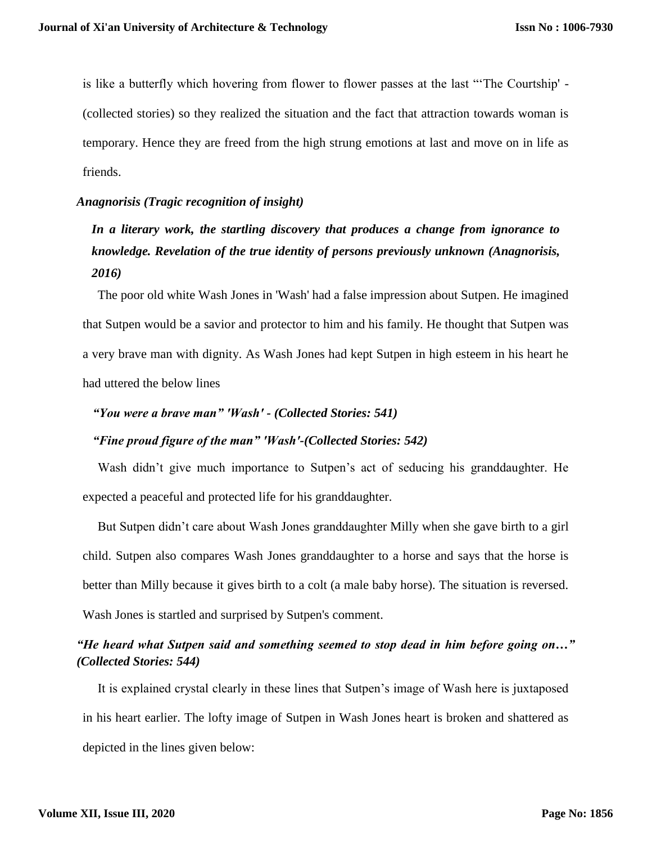is like a butterfly which hovering from flower to flower passes at the last "'The Courtship' - (collected stories) so they realized the situation and the fact that attraction towards woman is temporary. Hence they are freed from the high strung emotions at last and move on in life as friends.

#### *Anagnorisis (Tragic recognition of insight)*

# *In a literary work, the startling discovery that produces a change from ignorance to knowledge. Revelation of the true identity of persons previously unknown (Anagnorisis, 2016)*

The poor old white Wash Jones in 'Wash' had a false impression about Sutpen. He imagined that Sutpen would be a savior and protector to him and his family. He thought that Sutpen was a very brave man with dignity. As Wash Jones had kept Sutpen in high esteem in his heart he had uttered the below lines

# *"You were a brave man" 'Wash' - (Collected Stories: 541)*

## *"Fine proud figure of the man" 'Wash'-(Collected Stories: 542)*

Wash didn't give much importance to Sutpen's act of seducing his granddaughter. He expected a peaceful and protected life for his granddaughter.

But Sutpen didn't care about Wash Jones granddaughter Milly when she gave birth to a girl child. Sutpen also compares Wash Jones granddaughter to a horse and says that the horse is better than Milly because it gives birth to a colt (a male baby horse). The situation is reversed. Wash Jones is startled and surprised by Sutpen's comment.

# *"He heard what Sutpen said and something seemed to stop dead in him before going on…" (Collected Stories: 544)*

It is explained crystal clearly in these lines that Sutpen's image of Wash here is juxtaposed in his heart earlier. The lofty image of Sutpen in Wash Jones heart is broken and shattered as depicted in the lines given below: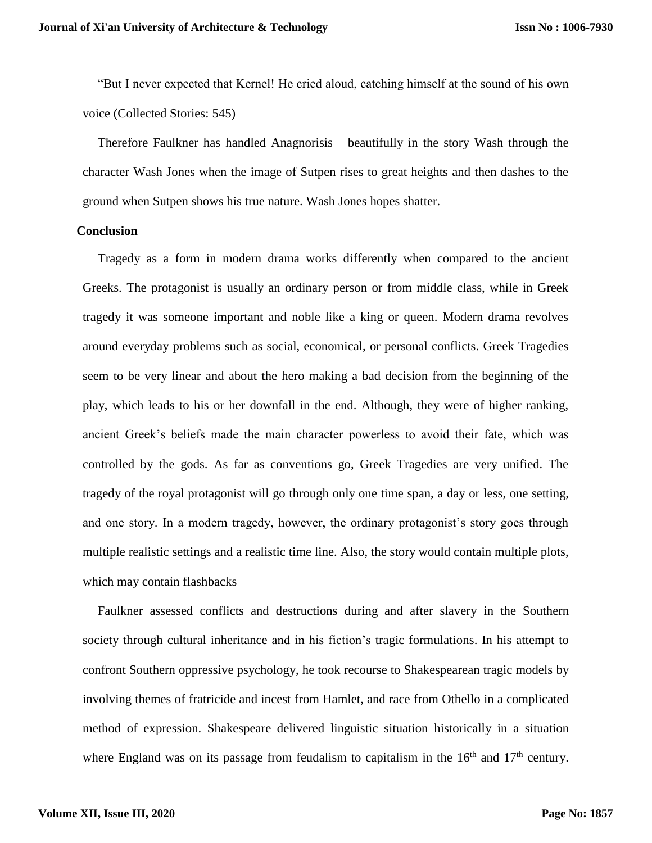"But I never expected that Kernel! He cried aloud, catching himself at the sound of his own voice (Collected Stories: 545)

Therefore Faulkner has handled Anagnorisis beautifully in the story Wash through the character Wash Jones when the image of Sutpen rises to great heights and then dashes to the ground when Sutpen shows his true nature. Wash Jones hopes shatter.

#### **Conclusion**

Tragedy as a form in modern drama works differently when compared to the ancient Greeks. The protagonist is usually an ordinary person or from middle class, while in Greek tragedy it was someone important and noble like a king or queen. Modern drama revolves around everyday problems such as social, economical, or personal conflicts. Greek Tragedies seem to be very linear and about the hero making a bad decision from the beginning of the play, which leads to his or her downfall in the end. Although, they were of higher ranking, ancient Greek's beliefs made the main character powerless to avoid their fate, which was controlled by the gods. As far as conventions go, Greek Tragedies are very unified. The tragedy of the royal protagonist will go through only one time span, a day or less, one setting, and one story. In a modern tragedy, however, the ordinary protagonist's story goes through multiple realistic settings and a realistic time line. Also, the story would contain multiple plots, which may contain flashbacks

Faulkner assessed conflicts and destructions during and after slavery in the Southern society through cultural inheritance and in his fiction's tragic formulations. In his attempt to confront Southern oppressive psychology, he took recourse to Shakespearean tragic models by involving themes of fratricide and incest from Hamlet, and race from Othello in a complicated method of expression. Shakespeare delivered linguistic situation historically in a situation where England was on its passage from feudalism to capitalism in the  $16<sup>th</sup>$  and  $17<sup>th</sup>$  century.